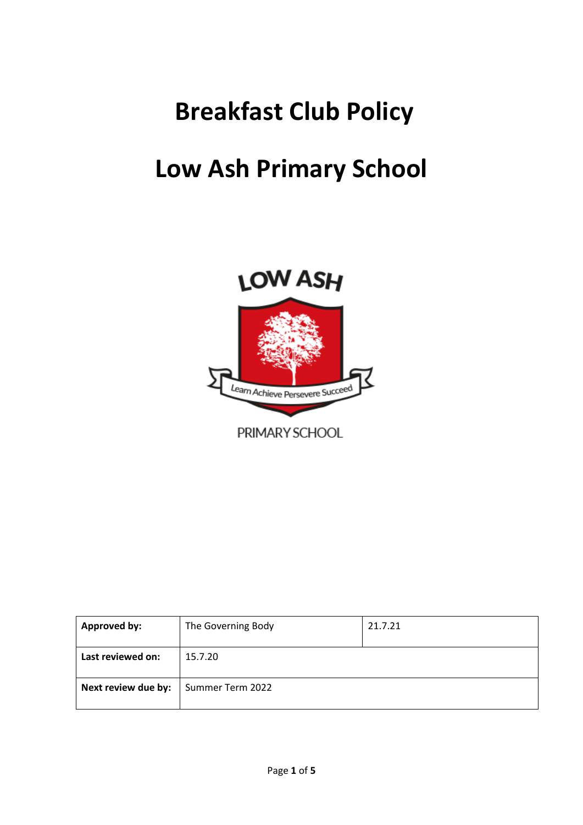# **Breakfast Club Policy**

# **Low Ash Primary School**



| Approved by:        | The Governing Body | 21.7.21 |
|---------------------|--------------------|---------|
| Last reviewed on:   | 15.7.20            |         |
| Next review due by: | Summer Term 2022   |         |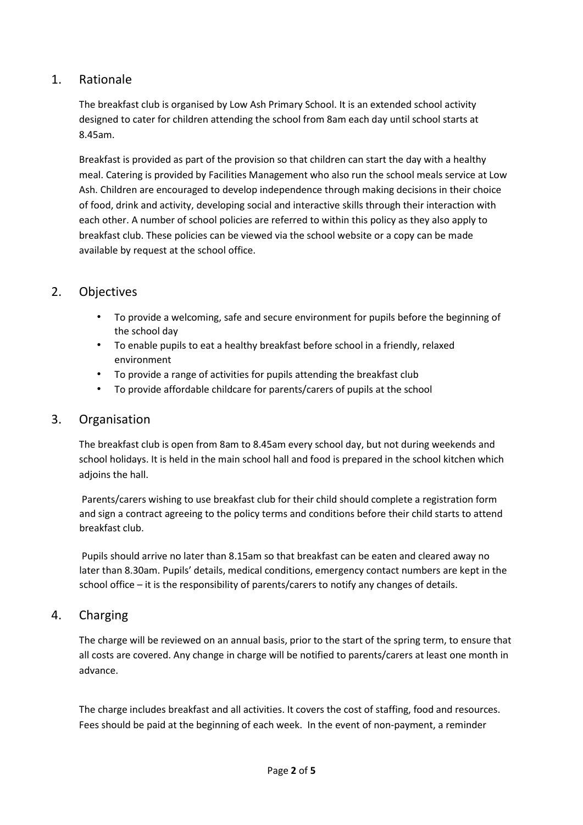# 1. Rationale

The breakfast club is organised by Low Ash Primary School. It is an extended school activity designed to cater for children attending the school from 8am each day until school starts at 8.45am.

Breakfast is provided as part of the provision so that children can start the day with a healthy meal. Catering is provided by Facilities Management who also run the school meals service at Low Ash. Children are encouraged to develop independence through making decisions in their choice of food, drink and activity, developing social and interactive skills through their interaction with each other. A number of school policies are referred to within this policy as they also apply to breakfast club. These policies can be viewed via the school website or a copy can be made available by request at the school office.

# 2. Objectives

- To provide a welcoming, safe and secure environment for pupils before the beginning of the school day
- To enable pupils to eat a healthy breakfast before school in a friendly, relaxed environment
- To provide a range of activities for pupils attending the breakfast club
- To provide affordable childcare for parents/carers of pupils at the school

#### 3. Organisation

The breakfast club is open from 8am to 8.45am every school day, but not during weekends and school holidays. It is held in the main school hall and food is prepared in the school kitchen which adjoins the hall.

Parents/carers wishing to use breakfast club for their child should complete a registration form and sign a contract agreeing to the policy terms and conditions before their child starts to attend breakfast club.

Pupils should arrive no later than 8.15am so that breakfast can be eaten and cleared away no later than 8.30am. Pupils' details, medical conditions, emergency contact numbers are kept in the school office – it is the responsibility of parents/carers to notify any changes of details.

#### 4. Charging

The charge will be reviewed on an annual basis, prior to the start of the spring term, to ensure that all costs are covered. Any change in charge will be notified to parents/carers at least one month in advance.

The charge includes breakfast and all activities. It covers the cost of staffing, food and resources. Fees should be paid at the beginning of each week.In the event of non-payment, a reminder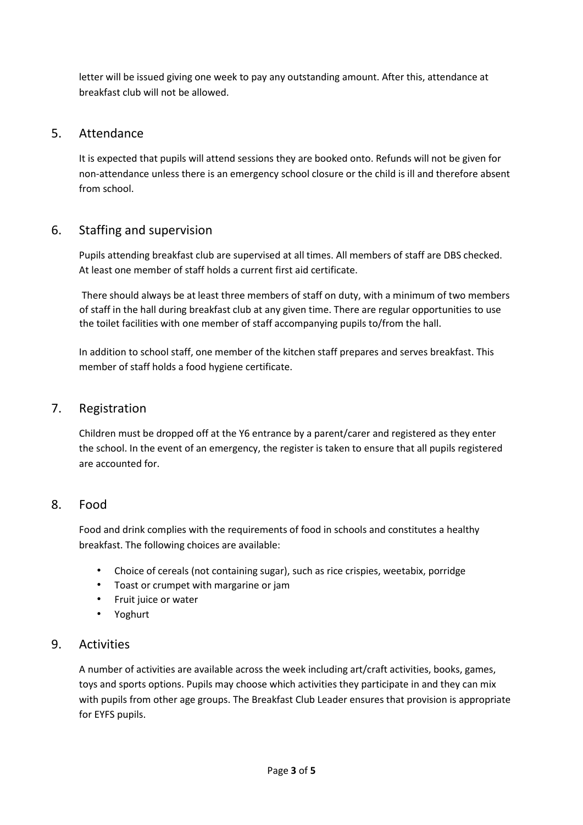letter will be issued giving one week to pay any outstanding amount. After this, attendance at breakfast club will not be allowed.

# 5. Attendance

It is expected that pupils will attend sessions they are booked onto. Refunds will not be given for non-attendance unless there is an emergency school closure or the child is ill and therefore absent from school.

# 6. Staffing and supervision

Pupils attending breakfast club are supervised at all times. All members of staff are DBS checked. At least one member of staff holds a current first aid certificate.

There should always be at least three members of staff on duty, with a minimum of two members of staff in the hall during breakfast club at any given time. There are regular opportunities to use the toilet facilities with one member of staff accompanying pupils to/from the hall.

In addition to school staff, one member of the kitchen staff prepares and serves breakfast. This member of staff holds a food hygiene certificate.

### 7. Registration

Children must be dropped off at the Y6 entrance by a parent/carer and registered as they enter the school. In the event of an emergency, the register is taken to ensure that all pupils registered are accounted for.

# 8. Food

Food and drink complies with the requirements of food in schools and constitutes a healthy breakfast. The following choices are available:

- Choice of cereals (not containing sugar), such as rice crispies, weetabix, porridge
- Toast or crumpet with margarine or jam
- Fruit juice or water
- Yoghurt

#### 9. Activities

A number of activities are available across the week including art/craft activities, books, games, toys and sports options. Pupils may choose which activities they participate in and they can mix with pupils from other age groups. The Breakfast Club Leader ensures that provision is appropriate for EYFS pupils.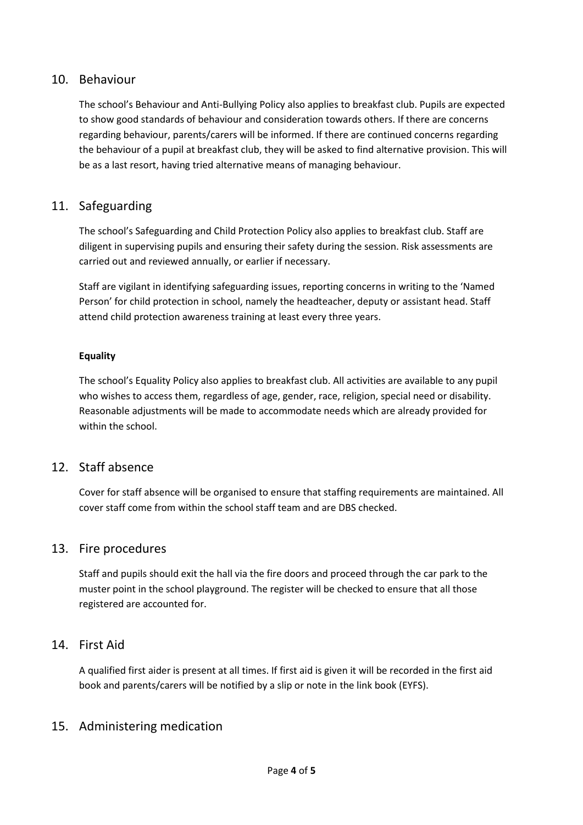### 10. Behaviour

The school's Behaviour and Anti-Bullying Policy also applies to breakfast club. Pupils are expected to show good standards of behaviour and consideration towards others. If there are concerns regarding behaviour, parents/carers will be informed. If there are continued concerns regarding the behaviour of a pupil at breakfast club, they will be asked to find alternative provision. This will be as a last resort, having tried alternative means of managing behaviour.

# 11. Safeguarding

The school's Safeguarding and Child Protection Policy also applies to breakfast club. Staff are diligent in supervising pupils and ensuring their safety during the session. Risk assessments are carried out and reviewed annually, or earlier if necessary.

Staff are vigilant in identifying safeguarding issues, reporting concerns in writing to the 'Named Person' for child protection in school, namely the headteacher, deputy or assistant head. Staff attend child protection awareness training at least every three years.

#### **Equality**

The school's Equality Policy also applies to breakfast club. All activities are available to any pupil who wishes to access them, regardless of age, gender, race, religion, special need or disability. Reasonable adjustments will be made to accommodate needs which are already provided for within the school.

# 12. Staff absence

Cover for staff absence will be organised to ensure that staffing requirements are maintained. All cover staff come from within the school staff team and are DBS checked.

#### 13. Fire procedures

Staff and pupils should exit the hall via the fire doors and proceed through the car park to the muster point in the school playground. The register will be checked to ensure that all those registered are accounted for.

#### 14. First Aid

A qualified first aider is present at all times. If first aid is given it will be recorded in the first aid book and parents/carers will be notified by a slip or note in the link book (EYFS).

#### 15. Administering medication